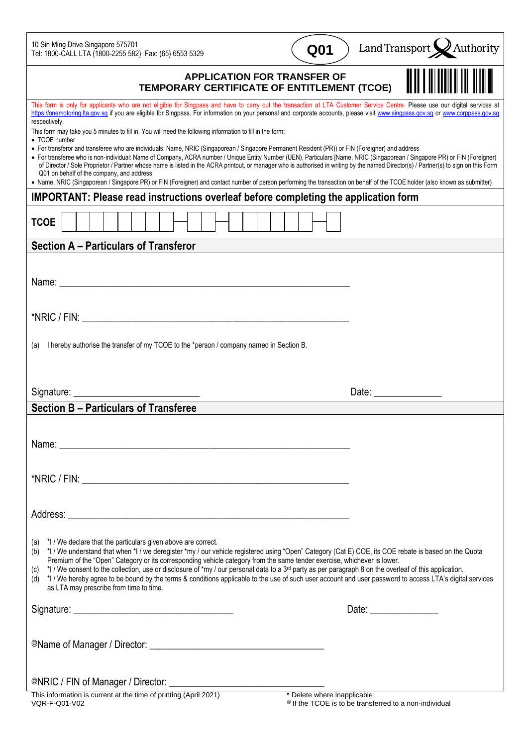10 Sin Ming Drive Singapore 575701 Tel: 1800-CALL LTA (1800-2255 582) Fax: (65) 6553 5329

| Q01 |
|-----|
|     |

Land Transport  $\bigotimes$  Authority

| <b>APPLICATION FOR TRANSFER OF</b><br>TEMPORARY CERTIFICATE OF ENTITLEMENT (TCOE)                                                                                                                                                                                                                                                                                                 |                       |
|-----------------------------------------------------------------------------------------------------------------------------------------------------------------------------------------------------------------------------------------------------------------------------------------------------------------------------------------------------------------------------------|-----------------------|
| This form is only for applicants who are not eligible for Singpass and have to carry out the transaction at LTA Customer Service Centre. Please use our digital services at<br>https://onemotoring.lta.gov.sg if you are eligible for Singpass. For information on your personal and corporate accounts, please visit www.singpass.gov.sg or www.corppass.gov.sg<br>respectively. |                       |
| This form may take you 5 minutes to fill in. You will need the following information to fill in the form:                                                                                                                                                                                                                                                                         |                       |
| • TCOE number<br>• For transferor and transferee who are individuals: Name, NRIC (Singaporean / Singapore Permanent Resident (PR)) or FIN (Foreigner) and address                                                                                                                                                                                                                 |                       |
| • For transferee who is non-individual: Name of Company, ACRA number / Unique Entity Number (UEN), Particulars [Name, NRIC (Singaporean / Singapore PR) or FIN (Foreigner)                                                                                                                                                                                                        |                       |
| of Director / Sole Proprietor / Partner whose name is listed in the ACRA printout, or manager who is authorised in writing by the named Director(s) / Partner(s) to sign on this Form<br>Q01 on behalf of the company, and address                                                                                                                                                |                       |
| • Name, NRIC (Singaporean / Singapore PR) or FIN (Foreigner) and contact number of person performing the transaction on behalf of the TCOE holder (also known as submitter)                                                                                                                                                                                                       |                       |
| <b>IMPORTANT: Please read instructions overleaf before completing the application form</b>                                                                                                                                                                                                                                                                                        |                       |
| <b>TCOE</b>                                                                                                                                                                                                                                                                                                                                                                       |                       |
| <b>Section A - Particulars of Transferor</b>                                                                                                                                                                                                                                                                                                                                      |                       |
|                                                                                                                                                                                                                                                                                                                                                                                   |                       |
|                                                                                                                                                                                                                                                                                                                                                                                   |                       |
| Name: Name: Name: Name: Name: Name: Name: Name: Name: Name: Name: Name: Name: Name: Name: Name: Name: Name: Name: Name: Name: Name: Name: Name: Name: Name: Name: Name: Name: Name: Name: Name: Name: Name: Name: Name: Name:                                                                                                                                                     |                       |
|                                                                                                                                                                                                                                                                                                                                                                                   |                       |
|                                                                                                                                                                                                                                                                                                                                                                                   |                       |
|                                                                                                                                                                                                                                                                                                                                                                                   |                       |
| I hereby authorise the transfer of my TCOE to the *person / company named in Section B.<br>(a)                                                                                                                                                                                                                                                                                    |                       |
|                                                                                                                                                                                                                                                                                                                                                                                   |                       |
|                                                                                                                                                                                                                                                                                                                                                                                   |                       |
|                                                                                                                                                                                                                                                                                                                                                                                   |                       |
| Signature:                                                                                                                                                                                                                                                                                                                                                                        | Date: _______________ |
|                                                                                                                                                                                                                                                                                                                                                                                   |                       |
| <b>Section B - Particulars of Transferee</b>                                                                                                                                                                                                                                                                                                                                      |                       |
|                                                                                                                                                                                                                                                                                                                                                                                   |                       |
|                                                                                                                                                                                                                                                                                                                                                                                   |                       |
| Name:                                                                                                                                                                                                                                                                                                                                                                             |                       |
|                                                                                                                                                                                                                                                                                                                                                                                   |                       |
|                                                                                                                                                                                                                                                                                                                                                                                   |                       |
|                                                                                                                                                                                                                                                                                                                                                                                   |                       |
|                                                                                                                                                                                                                                                                                                                                                                                   |                       |
|                                                                                                                                                                                                                                                                                                                                                                                   |                       |
|                                                                                                                                                                                                                                                                                                                                                                                   |                       |
| (a) *I / We declare that the particulars given above are correct.                                                                                                                                                                                                                                                                                                                 |                       |
| (b) *I/We understand that when *I/we deregister *my / our vehicle registered using "Open" Category (Cat E) COE, its COE rebate is based on the Quota                                                                                                                                                                                                                              |                       |
| Premium of the "Open" Category or its corresponding vehicle category from the same tender exercise, whichever is lower.<br>*I / We consent to the collection, use or disclosure of *my / our personal data to a 3 <sup>rd</sup> party as per paragraph 8 on the overleaf of this application.<br>(c)                                                                              |                       |
| (d) *I / We hereby agree to be bound by the terms & conditions applicable to the use of such user account and user password to access LTA's digital services                                                                                                                                                                                                                      |                       |
| as LTA may prescribe from time to time.                                                                                                                                                                                                                                                                                                                                           |                       |
|                                                                                                                                                                                                                                                                                                                                                                                   |                       |
|                                                                                                                                                                                                                                                                                                                                                                                   |                       |
|                                                                                                                                                                                                                                                                                                                                                                                   |                       |
|                                                                                                                                                                                                                                                                                                                                                                                   |                       |
|                                                                                                                                                                                                                                                                                                                                                                                   |                       |
|                                                                                                                                                                                                                                                                                                                                                                                   |                       |
| * Delete where inapplicable<br>This information is current at the time of printing (April 2021)                                                                                                                                                                                                                                                                                   |                       |